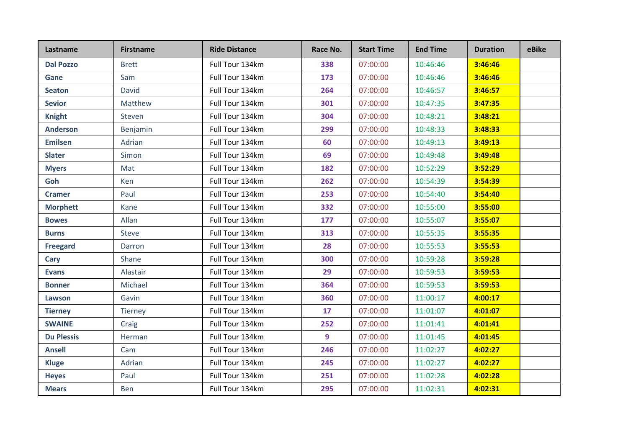| <b>Lastname</b>   | <b>Firstname</b> | <b>Ride Distance</b> | Race No.        | <b>Start Time</b> | <b>End Time</b> | <b>Duration</b> | eBike |
|-------------------|------------------|----------------------|-----------------|-------------------|-----------------|-----------------|-------|
| <b>Dal Pozzo</b>  | <b>Brett</b>     | Full Tour 134km      | 338             | 07:00:00          | 10:46:46        | 3:46:46         |       |
| Gane              | Sam              | Full Tour 134km      | 173             | 07:00:00          | 10:46:46        | 3:46:46         |       |
| <b>Seaton</b>     | David            | Full Tour 134km      | 264             | 07:00:00          | 10:46:57        | 3:46:57         |       |
| <b>Sevior</b>     | Matthew          | Full Tour 134km      | 301             | 07:00:00          | 10:47:35        | 3:47:35         |       |
| <b>Knight</b>     | Steven           | Full Tour 134km      | 304             | 07:00:00          | 10:48:21        | 3:48:21         |       |
| <b>Anderson</b>   | Benjamin         | Full Tour 134km      | 299             | 07:00:00          | 10:48:33        | 3:48:33         |       |
| <b>Emilsen</b>    | Adrian           | Full Tour 134km      | 60              | 07:00:00          | 10:49:13        | 3:49:13         |       |
| <b>Slater</b>     | Simon            | Full Tour 134km      | 69              | 07:00:00          | 10:49:48        | 3:49:48         |       |
| <b>Myers</b>      | Mat              | Full Tour 134km      | 182             | 07:00:00          | 10:52:29        | 3:52:29         |       |
| Goh               | Ken              | Full Tour 134km      | 262             | 07:00:00          | 10:54:39        | 3:54:39         |       |
| <b>Cramer</b>     | Paul             | Full Tour 134km      | 253             | 07:00:00          | 10:54:40        | 3:54:40         |       |
| <b>Morphett</b>   | Kane             | Full Tour 134km      | 332             | 07:00:00          | 10:55:00        | 3:55:00         |       |
| <b>Bowes</b>      | Allan            | Full Tour 134km      | 177             | 07:00:00          | 10:55:07        | 3:55:07         |       |
| <b>Burns</b>      | <b>Steve</b>     | Full Tour 134km      | 313             | 07:00:00          | 10:55:35        | 3:55:35         |       |
| <b>Freegard</b>   | Darron           | Full Tour 134km      | 28              | 07:00:00          | 10:55:53        | 3:55:53         |       |
| Cary              | Shane            | Full Tour 134km      | 300             | 07:00:00          | 10:59:28        | 3:59:28         |       |
| <b>Evans</b>      | Alastair         | Full Tour 134km      | 29              | 07:00:00          | 10:59:53        | 3:59:53         |       |
| <b>Bonner</b>     | Michael          | Full Tour 134km      | 364             | 07:00:00          | 10:59:53        | 3:59:53         |       |
| Lawson            | Gavin            | Full Tour 134km      | 360             | 07:00:00          | 11:00:17        | 4:00:17         |       |
| <b>Tierney</b>    | <b>Tierney</b>   | Full Tour 134km      | 17 <sup>2</sup> | 07:00:00          | 11:01:07        | 4:01:07         |       |
| <b>SWAINE</b>     | Craig            | Full Tour 134km      | 252             | 07:00:00          | 11:01:41        | 4:01:41         |       |
| <b>Du Plessis</b> | Herman           | Full Tour 134km      | 9               | 07:00:00          | 11:01:45        | 4:01:45         |       |
| <b>Ansell</b>     | Cam              | Full Tour 134km      | 246             | 07:00:00          | 11:02:27        | 4:02:27         |       |
| <b>Kluge</b>      | Adrian           | Full Tour 134km      | 245             | 07:00:00          | 11:02:27        | 4:02:27         |       |
| <b>Heyes</b>      | Paul             | Full Tour 134km      | 251             | 07:00:00          | 11:02:28        | 4:02:28         |       |
| <b>Mears</b>      | Ben              | Full Tour 134km      | 295             | 07:00:00          | 11:02:31        | 4:02:31         |       |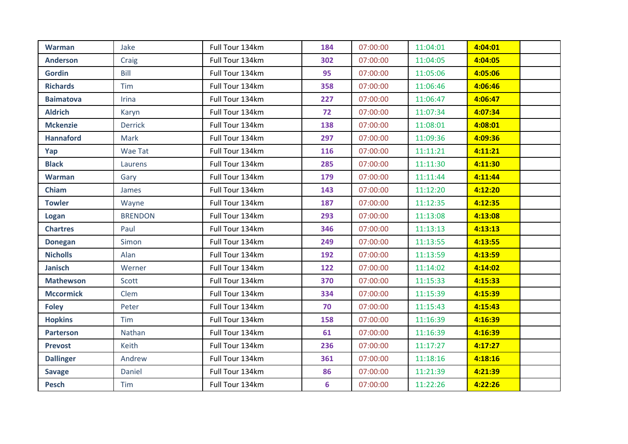| <b>Warman</b>    | Jake           | Full Tour 134km | 184 | 07:00:00 | 11:04:01 | 4:04:01 |  |
|------------------|----------------|-----------------|-----|----------|----------|---------|--|
| <b>Anderson</b>  | Craig          | Full Tour 134km | 302 | 07:00:00 | 11:04:05 | 4:04:05 |  |
| <b>Gordin</b>    | Bill           | Full Tour 134km | 95  | 07:00:00 | 11:05:06 | 4:05:06 |  |
| <b>Richards</b>  | Tim            | Full Tour 134km | 358 | 07:00:00 | 11:06:46 | 4:06:46 |  |
| <b>Baimatova</b> | Irina          | Full Tour 134km | 227 | 07:00:00 | 11:06:47 | 4:06:47 |  |
| <b>Aldrich</b>   | Karyn          | Full Tour 134km | 72  | 07:00:00 | 11:07:34 | 4:07:34 |  |
| <b>Mckenzie</b>  | <b>Derrick</b> | Full Tour 134km | 138 | 07:00:00 | 11:08:01 | 4:08:01 |  |
| <b>Hannaford</b> | Mark           | Full Tour 134km | 297 | 07:00:00 | 11:09:36 | 4:09:36 |  |
| Yap              | Wae Tat        | Full Tour 134km | 116 | 07:00:00 | 11:11:21 | 4:11:21 |  |
| <b>Black</b>     | Laurens        | Full Tour 134km | 285 | 07:00:00 | 11:11:30 | 4:11:30 |  |
| <b>Warman</b>    | Gary           | Full Tour 134km | 179 | 07:00:00 | 11:11:44 | 4:11:44 |  |
| Chiam            | James          | Full Tour 134km | 143 | 07:00:00 | 11:12:20 | 4:12:20 |  |
| <b>Towler</b>    | Wayne          | Full Tour 134km | 187 | 07:00:00 | 11:12:35 | 4:12:35 |  |
| Logan            | <b>BRENDON</b> | Full Tour 134km | 293 | 07:00:00 | 11:13:08 | 4:13:08 |  |
| <b>Chartres</b>  | Paul           | Full Tour 134km | 346 | 07:00:00 | 11:13:13 | 4:13:13 |  |
| <b>Donegan</b>   | Simon          | Full Tour 134km | 249 | 07:00:00 | 11:13:55 | 4:13:55 |  |
| <b>Nicholls</b>  | Alan           | Full Tour 134km | 192 | 07:00:00 | 11:13:59 | 4:13:59 |  |
| <b>Janisch</b>   | Werner         | Full Tour 134km | 122 | 07:00:00 | 11:14:02 | 4:14:02 |  |
| <b>Mathewson</b> | Scott          | Full Tour 134km | 370 | 07:00:00 | 11:15:33 | 4:15:33 |  |
| <b>Mccormick</b> | Clem           | Full Tour 134km | 334 | 07:00:00 | 11:15:39 | 4:15:39 |  |
| <b>Foley</b>     | Peter          | Full Tour 134km | 70  | 07:00:00 | 11:15:43 | 4:15:43 |  |
| <b>Hopkins</b>   | Tim            | Full Tour 134km | 158 | 07:00:00 | 11:16:39 | 4:16:39 |  |
| <b>Parterson</b> | Nathan         | Full Tour 134km | 61  | 07:00:00 | 11:16:39 | 4:16:39 |  |
| <b>Prevost</b>   | Keith          | Full Tour 134km | 236 | 07:00:00 | 11:17:27 | 4:17:27 |  |
| <b>Dallinger</b> | Andrew         | Full Tour 134km | 361 | 07:00:00 | 11:18:16 | 4:18:16 |  |
| <b>Savage</b>    | Daniel         | Full Tour 134km | 86  | 07:00:00 | 11:21:39 | 4:21:39 |  |
| <b>Pesch</b>     | Tim            | Full Tour 134km | 6   | 07:00:00 | 11:22:26 | 4:22:26 |  |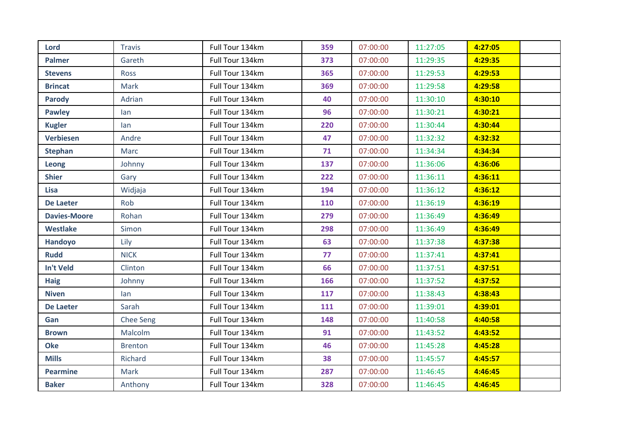| Lord                | <b>Travis</b>  | Full Tour 134km | 359 | 07:00:00 | 11:27:05 | 4:27:05 |
|---------------------|----------------|-----------------|-----|----------|----------|---------|
| <b>Palmer</b>       | Gareth         | Full Tour 134km | 373 | 07:00:00 | 11:29:35 | 4:29:35 |
| <b>Stevens</b>      | Ross           | Full Tour 134km | 365 | 07:00:00 | 11:29:53 | 4:29:53 |
| <b>Brincat</b>      | Mark           | Full Tour 134km | 369 | 07:00:00 | 11:29:58 | 4:29:58 |
| <b>Parody</b>       | Adrian         | Full Tour 134km | 40  | 07:00:00 | 11:30:10 | 4:30:10 |
| <b>Pawley</b>       | lan            | Full Tour 134km | 96  | 07:00:00 | 11:30:21 | 4:30:21 |
| <b>Kugler</b>       | lan            | Full Tour 134km | 220 | 07:00:00 | 11:30:44 | 4:30:44 |
| <b>Verbiesen</b>    | Andre          | Full Tour 134km | 47  | 07:00:00 | 11:32:32 | 4:32:32 |
| <b>Stephan</b>      | Marc           | Full Tour 134km | 71  | 07:00:00 | 11:34:34 | 4:34:34 |
| Leong               | Johnny         | Full Tour 134km | 137 | 07:00:00 | 11:36:06 | 4:36:06 |
| <b>Shier</b>        | Gary           | Full Tour 134km | 222 | 07:00:00 | 11:36:11 | 4:36:11 |
| Lisa                | Widjaja        | Full Tour 134km | 194 | 07:00:00 | 11:36:12 | 4:36:12 |
| <b>De Laeter</b>    | Rob            | Full Tour 134km | 110 | 07:00:00 | 11:36:19 | 4:36:19 |
| <b>Davies-Moore</b> | Rohan          | Full Tour 134km | 279 | 07:00:00 | 11:36:49 | 4:36:49 |
| <b>Westlake</b>     | Simon          | Full Tour 134km | 298 | 07:00:00 | 11:36:49 | 4:36:49 |
| Handoyo             | Lily           | Full Tour 134km | 63  | 07:00:00 | 11:37:38 | 4:37:38 |
| <b>Rudd</b>         | <b>NICK</b>    | Full Tour 134km | 77  | 07:00:00 | 11:37:41 | 4:37:41 |
| In't Veld           | Clinton        | Full Tour 134km | 66  | 07:00:00 | 11:37:51 | 4:37:51 |
| <b>Haig</b>         | Johnny         | Full Tour 134km | 166 | 07:00:00 | 11:37:52 | 4:37:52 |
| <b>Niven</b>        | lan            | Full Tour 134km | 117 | 07:00:00 | 11:38:43 | 4:38:43 |
| <b>De Laeter</b>    | Sarah          | Full Tour 134km | 111 | 07:00:00 | 11:39:01 | 4:39:01 |
| Gan                 | Chee Seng      | Full Tour 134km | 148 | 07:00:00 | 11:40:58 | 4:40:58 |
| <b>Brown</b>        | Malcolm        | Full Tour 134km | 91  | 07:00:00 | 11:43:52 | 4:43:52 |
| <b>Oke</b>          | <b>Brenton</b> | Full Tour 134km | 46  | 07:00:00 | 11:45:28 | 4:45:28 |
| <b>Mills</b>        | Richard        | Full Tour 134km | 38  | 07:00:00 | 11:45:57 | 4:45:57 |
| <b>Pearmine</b>     | Mark           | Full Tour 134km | 287 | 07:00:00 | 11:46:45 | 4:46:45 |
| <b>Baker</b>        | Anthony        | Full Tour 134km | 328 | 07:00:00 | 11:46:45 | 4:46:45 |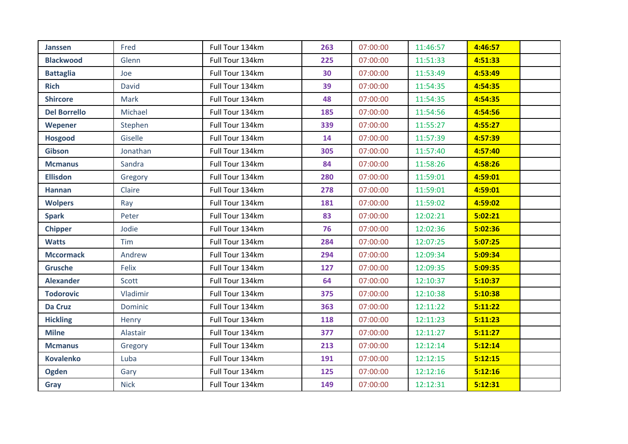| <b>Janssen</b>      | Fred        | Full Tour 134km | 263 | 07:00:00 | 11:46:57 | 4:46:57 |
|---------------------|-------------|-----------------|-----|----------|----------|---------|
| <b>Blackwood</b>    | Glenn       | Full Tour 134km | 225 | 07:00:00 | 11:51:33 | 4:51:33 |
| <b>Battaglia</b>    | Joe         | Full Tour 134km | 30  | 07:00:00 | 11:53:49 | 4:53:49 |
| <b>Rich</b>         | David       | Full Tour 134km | 39  | 07:00:00 | 11:54:35 | 4:54:35 |
| <b>Shircore</b>     | Mark        | Full Tour 134km | 48  | 07:00:00 | 11:54:35 | 4:54:35 |
| <b>Del Borrello</b> | Michael     | Full Tour 134km | 185 | 07:00:00 | 11:54:56 | 4:54:56 |
| Wepener             | Stephen     | Full Tour 134km | 339 | 07:00:00 | 11:55:27 | 4:55:27 |
| <b>Hosgood</b>      | Giselle     | Full Tour 134km | 14  | 07:00:00 | 11:57:39 | 4:57:39 |
| <b>Gibson</b>       | Jonathan    | Full Tour 134km | 305 | 07:00:00 | 11:57:40 | 4:57:40 |
| <b>Mcmanus</b>      | Sandra      | Full Tour 134km | 84  | 07:00:00 | 11:58:26 | 4:58:26 |
| <b>Ellisdon</b>     | Gregory     | Full Tour 134km | 280 | 07:00:00 | 11:59:01 | 4:59:01 |
| <b>Hannan</b>       | Claire      | Full Tour 134km | 278 | 07:00:00 | 11:59:01 | 4:59:01 |
| <b>Wolpers</b>      | Ray         | Full Tour 134km | 181 | 07:00:00 | 11:59:02 | 4:59:02 |
| <b>Spark</b>        | Peter       | Full Tour 134km | 83  | 07:00:00 | 12:02:21 | 5:02:21 |
| <b>Chipper</b>      | Jodie       | Full Tour 134km | 76  | 07:00:00 | 12:02:36 | 5:02:36 |
| <b>Watts</b>        | <b>Tim</b>  | Full Tour 134km | 284 | 07:00:00 | 12:07:25 | 5:07:25 |
| <b>Mccormack</b>    | Andrew      | Full Tour 134km | 294 | 07:00:00 | 12:09:34 | 5:09:34 |
| Grusche             | Felix       | Full Tour 134km | 127 | 07:00:00 | 12:09:35 | 5:09:35 |
| <b>Alexander</b>    | Scott       | Full Tour 134km | 64  | 07:00:00 | 12:10:37 | 5:10:37 |
| <b>Todorovic</b>    | Vladimir    | Full Tour 134km | 375 | 07:00:00 | 12:10:38 | 5:10:38 |
| Da Cruz             | Dominic     | Full Tour 134km | 363 | 07:00:00 | 12:11:22 | 5:11:22 |
| <b>Hickling</b>     | Henry       | Full Tour 134km | 118 | 07:00:00 | 12:11:23 | 5:11:23 |
| <b>Milne</b>        | Alastair    | Full Tour 134km | 377 | 07:00:00 | 12:11:27 | 5:11:27 |
| <b>Mcmanus</b>      | Gregory     | Full Tour 134km | 213 | 07:00:00 | 12:12:14 | 5:12:14 |
| <b>Kovalenko</b>    | Luba        | Full Tour 134km | 191 | 07:00:00 | 12:12:15 | 5:12:15 |
| <b>Ogden</b>        | Gary        | Full Tour 134km | 125 | 07:00:00 | 12:12:16 | 5:12:16 |
| Gray                | <b>Nick</b> | Full Tour 134km | 149 | 07:00:00 | 12:12:31 | 5:12:31 |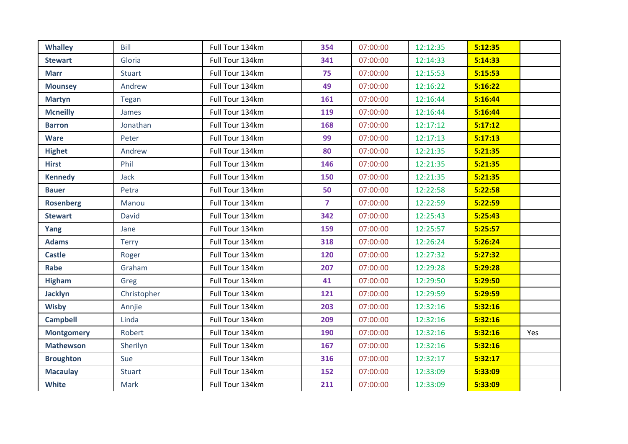| <b>Whalley</b>    | Bill          | Full Tour 134km | 354            | 07:00:00 | 12:12:35 | 5:12:35 |     |
|-------------------|---------------|-----------------|----------------|----------|----------|---------|-----|
| <b>Stewart</b>    | Gloria        | Full Tour 134km | 341            | 07:00:00 | 12:14:33 | 5:14:33 |     |
| <b>Marr</b>       | <b>Stuart</b> | Full Tour 134km | 75             | 07:00:00 | 12:15:53 | 5:15:53 |     |
| <b>Mounsey</b>    | Andrew        | Full Tour 134km | 49             | 07:00:00 | 12:16:22 | 5:16:22 |     |
| <b>Martyn</b>     | Tegan         | Full Tour 134km | 161            | 07:00:00 | 12:16:44 | 5:16:44 |     |
| <b>Mcneilly</b>   | James         | Full Tour 134km | 119            | 07:00:00 | 12:16:44 | 5:16:44 |     |
| <b>Barron</b>     | Jonathan      | Full Tour 134km | 168            | 07:00:00 | 12:17:12 | 5:17:12 |     |
| <b>Ware</b>       | Peter         | Full Tour 134km | 99             | 07:00:00 | 12:17:13 | 5:17:13 |     |
| <b>Highet</b>     | Andrew        | Full Tour 134km | 80             | 07:00:00 | 12:21:35 | 5:21:35 |     |
| <b>Hirst</b>      | Phil          | Full Tour 134km | 146            | 07:00:00 | 12:21:35 | 5:21:35 |     |
| <b>Kennedy</b>    | Jack          | Full Tour 134km | 150            | 07:00:00 | 12:21:35 | 5:21:35 |     |
| <b>Bauer</b>      | Petra         | Full Tour 134km | 50             | 07:00:00 | 12:22:58 | 5:22:58 |     |
| <b>Rosenberg</b>  | Manou         | Full Tour 134km | $\overline{7}$ | 07:00:00 | 12:22:59 | 5:22:59 |     |
| <b>Stewart</b>    | David         | Full Tour 134km | 342            | 07:00:00 | 12:25:43 | 5:25:43 |     |
| Yang              | Jane          | Full Tour 134km | 159            | 07:00:00 | 12:25:57 | 5:25:57 |     |
| <b>Adams</b>      | <b>Terry</b>  | Full Tour 134km | 318            | 07:00:00 | 12:26:24 | 5:26:24 |     |
| <b>Castle</b>     | Roger         | Full Tour 134km | 120            | 07:00:00 | 12:27:32 | 5:27:32 |     |
| Rabe              | Graham        | Full Tour 134km | 207            | 07:00:00 | 12:29:28 | 5:29:28 |     |
| <b>Higham</b>     | Greg          | Full Tour 134km | 41             | 07:00:00 | 12:29:50 | 5:29:50 |     |
| <b>Jacklyn</b>    | Christopher   | Full Tour 134km | 121            | 07:00:00 | 12:29:59 | 5:29:59 |     |
| <b>Wisby</b>      | Annjie        | Full Tour 134km | 203            | 07:00:00 | 12:32:16 | 5:32:16 |     |
| <b>Campbell</b>   | Linda         | Full Tour 134km | 209            | 07:00:00 | 12:32:16 | 5:32:16 |     |
| <b>Montgomery</b> | Robert        | Full Tour 134km | 190            | 07:00:00 | 12:32:16 | 5:32:16 | Yes |
| <b>Mathewson</b>  | Sherilyn      | Full Tour 134km | 167            | 07:00:00 | 12:32:16 | 5:32:16 |     |
| <b>Broughton</b>  | Sue           | Full Tour 134km | 316            | 07:00:00 | 12:32:17 | 5:32:17 |     |
| <b>Macaulay</b>   | <b>Stuart</b> | Full Tour 134km | 152            | 07:00:00 | 12:33:09 | 5:33:09 |     |
| <b>White</b>      | Mark          | Full Tour 134km | 211            | 07:00:00 | 12:33:09 | 5:33:09 |     |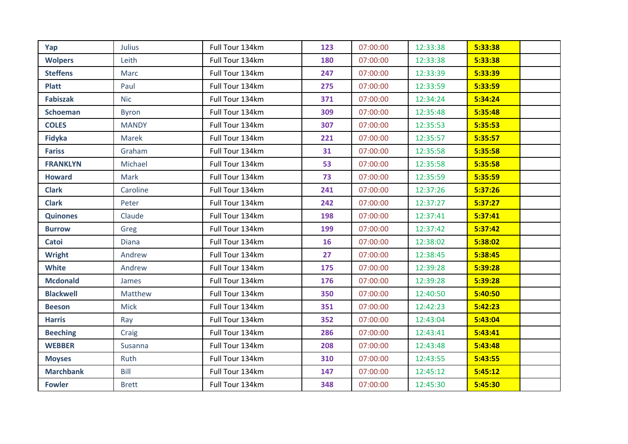| Yap              | Julius       | Full Tour 134km | 123 | 07:00:00 | 12:33:38 | 5:33:38 |
|------------------|--------------|-----------------|-----|----------|----------|---------|
| <b>Wolpers</b>   | Leith        | Full Tour 134km | 180 | 07:00:00 | 12:33:38 | 5:33:38 |
| <b>Steffens</b>  | Marc         | Full Tour 134km | 247 | 07:00:00 | 12:33:39 | 5:33:39 |
| <b>Platt</b>     | Paul         | Full Tour 134km | 275 | 07:00:00 | 12:33:59 | 5:33:59 |
| <b>Fabiszak</b>  | <b>Nic</b>   | Full Tour 134km | 371 | 07:00:00 | 12:34:24 | 5:34:24 |
| <b>Schoeman</b>  | <b>Byron</b> | Full Tour 134km | 309 | 07:00:00 | 12:35:48 | 5:35:48 |
| <b>COLES</b>     | <b>MANDY</b> | Full Tour 134km | 307 | 07:00:00 | 12:35:53 | 5:35:53 |
| <b>Fidyka</b>    | Marek        | Full Tour 134km | 221 | 07:00:00 | 12:35:57 | 5:35:57 |
| <b>Fariss</b>    | Graham       | Full Tour 134km | 31  | 07:00:00 | 12:35:58 | 5:35:58 |
| <b>FRANKLYN</b>  | Michael      | Full Tour 134km | 53  | 07:00:00 | 12:35:58 | 5:35:58 |
| <b>Howard</b>    | Mark         | Full Tour 134km | 73  | 07:00:00 | 12:35:59 | 5:35:59 |
| <b>Clark</b>     | Caroline     | Full Tour 134km | 241 | 07:00:00 | 12:37:26 | 5:37:26 |
| <b>Clark</b>     | Peter        | Full Tour 134km | 242 | 07:00:00 | 12:37:27 | 5:37:27 |
| <b>Quinones</b>  | Claude       | Full Tour 134km | 198 | 07:00:00 | 12:37:41 | 5:37:41 |
| <b>Burrow</b>    | Greg         | Full Tour 134km | 199 | 07:00:00 | 12:37:42 | 5:37:42 |
| <b>Catoi</b>     | <b>Diana</b> | Full Tour 134km | 16  | 07:00:00 | 12:38:02 | 5:38:02 |
| <b>Wright</b>    | Andrew       | Full Tour 134km | 27  | 07:00:00 | 12:38:45 | 5:38:45 |
| <b>White</b>     | Andrew       | Full Tour 134km | 175 | 07:00:00 | 12:39:28 | 5:39:28 |
| <b>Mcdonald</b>  | James        | Full Tour 134km | 176 | 07:00:00 | 12:39:28 | 5:39:28 |
| <b>Blackwell</b> | Matthew      | Full Tour 134km | 350 | 07:00:00 | 12:40:50 | 5:40:50 |
| <b>Beeson</b>    | <b>Mick</b>  | Full Tour 134km | 351 | 07:00:00 | 12:42:23 | 5:42:23 |
| <b>Harris</b>    | Ray          | Full Tour 134km | 352 | 07:00:00 | 12:43:04 | 5:43:04 |
| <b>Beeching</b>  | Craig        | Full Tour 134km | 286 | 07:00:00 | 12:43:41 | 5:43:41 |
| <b>WEBBER</b>    | Susanna      | Full Tour 134km | 208 | 07:00:00 | 12:43:48 | 5:43:48 |
| <b>Moyses</b>    | Ruth         | Full Tour 134km | 310 | 07:00:00 | 12:43:55 | 5:43:55 |
| <b>Marchbank</b> | Bill         | Full Tour 134km | 147 | 07:00:00 | 12:45:12 | 5:45:12 |
| <b>Fowler</b>    | <b>Brett</b> | Full Tour 134km | 348 | 07:00:00 | 12:45:30 | 5:45:30 |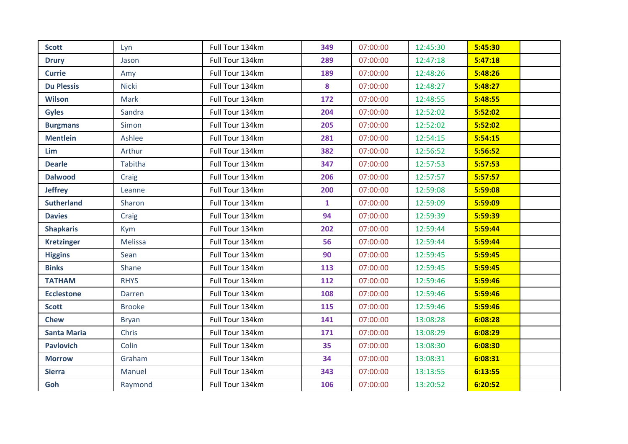| <b>Scott</b>       | Lyn            | Full Tour 134km | 349          | 07:00:00 | 12:45:30 | 5:45:30 |
|--------------------|----------------|-----------------|--------------|----------|----------|---------|
| <b>Drury</b>       | Jason          | Full Tour 134km | 289          | 07:00:00 | 12:47:18 | 5:47:18 |
| <b>Currie</b>      | Amy            | Full Tour 134km | 189          | 07:00:00 | 12:48:26 | 5:48:26 |
| <b>Du Plessis</b>  | Nicki          | Full Tour 134km | 8            | 07:00:00 | 12:48:27 | 5:48:27 |
| <b>Wilson</b>      | Mark           | Full Tour 134km | 172          | 07:00:00 | 12:48:55 | 5:48:55 |
| <b>Gyles</b>       | Sandra         | Full Tour 134km | 204          | 07:00:00 | 12:52:02 | 5:52:02 |
| <b>Burgmans</b>    | Simon          | Full Tour 134km | 205          | 07:00:00 | 12:52:02 | 5:52:02 |
| <b>Mentlein</b>    | Ashlee         | Full Tour 134km | 281          | 07:00:00 | 12:54:15 | 5:54:15 |
| <b>Lim</b>         | Arthur         | Full Tour 134km | 382          | 07:00:00 | 12:56:52 | 5:56:52 |
| <b>Dearle</b>      | <b>Tabitha</b> | Full Tour 134km | 347          | 07:00:00 | 12:57:53 | 5:57:53 |
| <b>Dalwood</b>     | Craig          | Full Tour 134km | 206          | 07:00:00 | 12:57:57 | 5:57:57 |
| <b>Jeffrey</b>     | Leanne         | Full Tour 134km | 200          | 07:00:00 | 12:59:08 | 5:59:08 |
| <b>Sutherland</b>  | Sharon         | Full Tour 134km | $\mathbf{1}$ | 07:00:00 | 12:59:09 | 5:59:09 |
| <b>Davies</b>      | Craig          | Full Tour 134km | 94           | 07:00:00 | 12:59:39 | 5:59:39 |
| <b>Shapkaris</b>   | <b>Kym</b>     | Full Tour 134km | 202          | 07:00:00 | 12:59:44 | 5:59:44 |
| <b>Kretzinger</b>  | Melissa        | Full Tour 134km | 56           | 07:00:00 | 12:59:44 | 5:59:44 |
| <b>Higgins</b>     | Sean           | Full Tour 134km | 90           | 07:00:00 | 12:59:45 | 5:59:45 |
| <b>Binks</b>       | Shane          | Full Tour 134km | 113          | 07:00:00 | 12:59:45 | 5:59:45 |
| <b>TATHAM</b>      | <b>RHYS</b>    | Full Tour 134km | 112          | 07:00:00 | 12:59:46 | 5:59:46 |
| <b>Ecclestone</b>  | Darren         | Full Tour 134km | 108          | 07:00:00 | 12:59:46 | 5:59:46 |
| <b>Scott</b>       | <b>Brooke</b>  | Full Tour 134km | 115          | 07:00:00 | 12:59:46 | 5:59:46 |
| <b>Chew</b>        | <b>Bryan</b>   | Full Tour 134km | 141          | 07:00:00 | 13:08:28 | 6:08:28 |
| <b>Santa Maria</b> | Chris          | Full Tour 134km | 171          | 07:00:00 | 13:08:29 | 6:08:29 |
| <b>Pavlovich</b>   | Colin          | Full Tour 134km | 35           | 07:00:00 | 13:08:30 | 6:08:30 |
| <b>Morrow</b>      | Graham         | Full Tour 134km | 34           | 07:00:00 | 13:08:31 | 6:08:31 |
| <b>Sierra</b>      | Manuel         | Full Tour 134km | 343          | 07:00:00 | 13:13:55 | 6:13:55 |
| Goh                | Raymond        | Full Tour 134km | 106          | 07:00:00 | 13:20:52 | 6:20:52 |